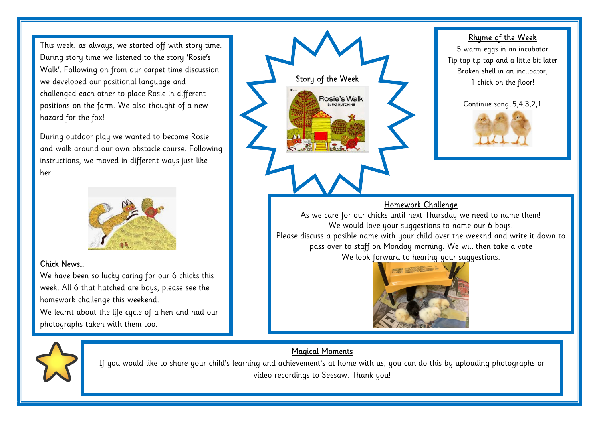This week, as always, we started off with story time. During story time we listened to the story 'Rosie's Walk'. Following on from our carpet time discussion we developed our positional language and challenged each other to place Rosie in different positions on the farm. We also thought of a new hazard for the fox!

During outdoor play we wanted to become Rosie and walk around our own obstacle course. Following instructions, we moved in different ways just like her.



## Chick News…

We have been so lucky caring for our 6 chicks this week. All 6 that hatched are boys, please see the homework challenge this weekend. We learnt about the life cycle of a hen and had our photographs taken with them too.

# Storu of the Wee Rosie's Walk

### Rhyme of the Week

5 warm eggs in an incubator Tip tap tip tap and a little bit later Broken shell in an incubator, 1 chick on the floor!





## Homework Challenge

As we care for our chicks until next Thursday we need to name them! We would love your suggestions to name our 6 boys. Please discuss a posible name with your child over the weeknd and write it down to pass over to staff on Monday morning. We will then take a vote We look forward to hearing your suggestions.



If you would like to share your child's learning and achievement's at home with us, you can do this by uploading photographs or video recordings to Seesaw. Thank you!

Magical Moments